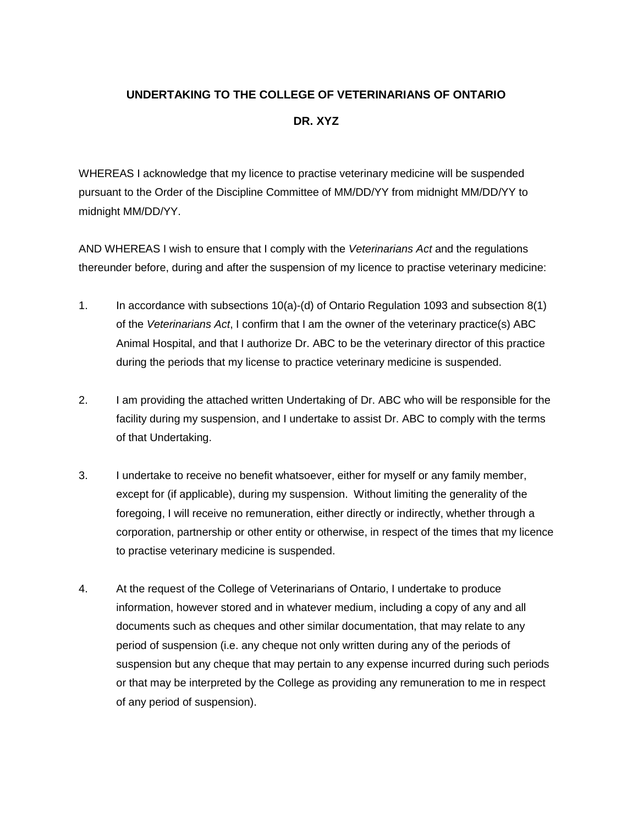## **UNDERTAKING TO THE COLLEGE OF VETERINARIANS OF ONTARIO DR. XYZ**

WHEREAS I acknowledge that my licence to practise veterinary medicine will be suspended pursuant to the Order of the Discipline Committee of MM/DD/YY from midnight MM/DD/YY to midnight MM/DD/YY.

AND WHEREAS I wish to ensure that I comply with the *Veterinarians Act* and the regulations thereunder before, during and after the suspension of my licence to practise veterinary medicine:

- 1. In accordance with subsections 10(a)-(d) of Ontario Regulation 1093 and subsection 8(1) of the *Veterinarians Act*, I confirm that I am the owner of the veterinary practice(s) ABC Animal Hospital, and that I authorize Dr. ABC to be the veterinary director of this practice during the periods that my license to practice veterinary medicine is suspended.
- 2. I am providing the attached written Undertaking of Dr. ABC who will be responsible for the facility during my suspension, and I undertake to assist Dr. ABC to comply with the terms of that Undertaking.
- 3. I undertake to receive no benefit whatsoever, either for myself or any family member, except for (if applicable), during my suspension. Without limiting the generality of the foregoing, I will receive no remuneration, either directly or indirectly, whether through a corporation, partnership or other entity or otherwise, in respect of the times that my licence to practise veterinary medicine is suspended.
- 4. At the request of the College of Veterinarians of Ontario, I undertake to produce information, however stored and in whatever medium, including a copy of any and all documents such as cheques and other similar documentation, that may relate to any period of suspension (i.e. any cheque not only written during any of the periods of suspension but any cheque that may pertain to any expense incurred during such periods or that may be interpreted by the College as providing any remuneration to me in respect of any period of suspension).